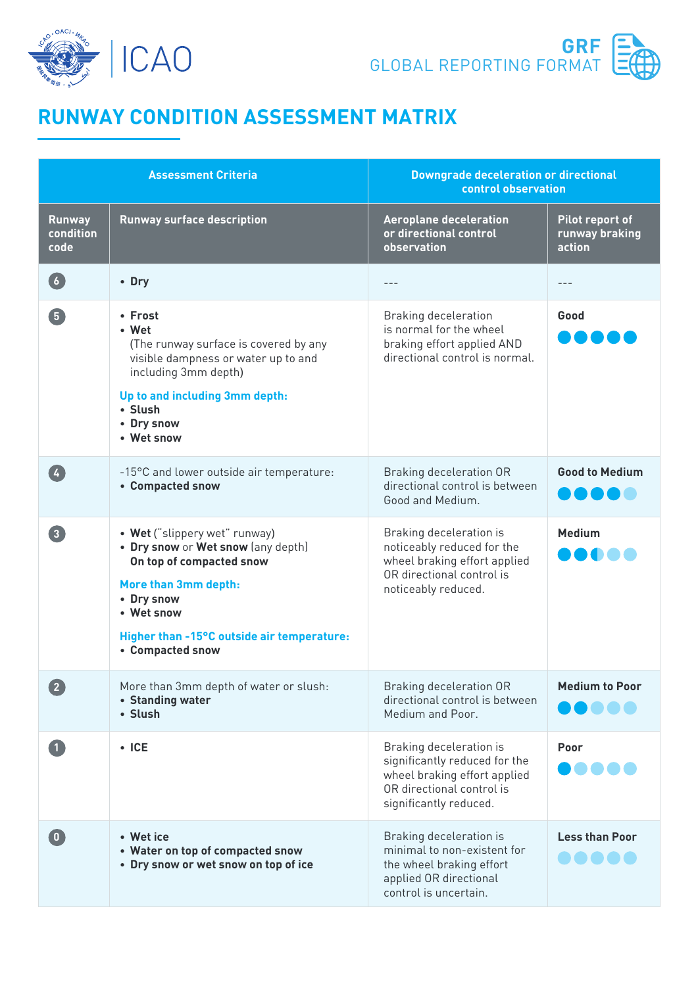



## **RUNWAY CONDITION ASSESSMENT MATRIX**

| <b>Assessment Criteria</b>         |                                                                                                                                                                                                                       | <b>Downgrade deceleration or directional</b><br>control observation                                                                             |                                             |  |
|------------------------------------|-----------------------------------------------------------------------------------------------------------------------------------------------------------------------------------------------------------------------|-------------------------------------------------------------------------------------------------------------------------------------------------|---------------------------------------------|--|
| <b>Runway</b><br>condition<br>code | <b>Runway surface description</b>                                                                                                                                                                                     | <b>Aeroplane deceleration</b><br>or directional control<br>observation                                                                          | Pilot report of<br>runway braking<br>action |  |
| 6 <sup>1</sup>                     | • Dry                                                                                                                                                                                                                 |                                                                                                                                                 |                                             |  |
| 5                                  | • Frost<br>• Wet<br>(The runway surface is covered by any<br>visible dampness or water up to and<br>including 3mm depth)<br>Up to and including 3mm depth:<br>• Slush<br>• Dry snow<br>• Wet snow                     | <b>Braking deceleration</b><br>is normal for the wheel<br>braking effort applied AND<br>directional control is normal.                          | Good                                        |  |
| $\overline{4}$                     | -15°C and lower outside air temperature:<br>• Compacted snow                                                                                                                                                          | <b>Braking deceleration OR</b><br>directional control is between<br>Good and Medium.                                                            | <b>Good to Medium</b>                       |  |
| 3 <sup>1</sup>                     | • Wet ("slippery wet" runway)<br>. Dry snow or Wet snow (any depth)<br>On top of compacted snow<br>More than 3mm depth:<br>• Dry snow<br>• Wet snow<br>Higher than -15°C outside air temperature:<br>• Compacted snow | Braking deceleration is<br>noticeably reduced for the<br>wheel braking effort applied<br>OR directional control is<br>noticeably reduced.       | <b>Medium</b>                               |  |
| $\left( 2\right)$                  | More than 3mm depth of water or slush:<br>• Standing water<br>• Slush                                                                                                                                                 | <b>Braking deceleration OR</b><br>directional control is between<br>Medium and Poor.                                                            | <b>Medium to Poor</b><br>.                  |  |
|                                    | $\cdot$ ICE                                                                                                                                                                                                           | Braking deceleration is<br>significantly reduced for the<br>wheel braking effort applied<br>OR directional control is<br>significantly reduced. | Poor                                        |  |
| $\begin{pmatrix} 0 \end{pmatrix}$  | • Wet ice<br>• Water on top of compacted snow<br>• Dry snow or wet snow on top of ice                                                                                                                                 | Braking deceleration is<br>minimal to non-existent for<br>the wheel braking effort<br>applied OR directional<br>control is uncertain.           | <b>Less than Poor</b>                       |  |